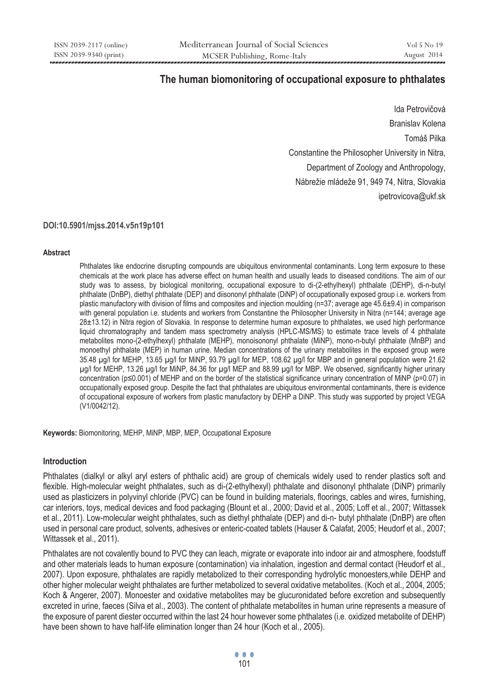# **The human biomonitoring of occupational exposure to phthalates**

Ida Petrovičová Branislav Kolena Tomáš Pilka Constantine the Philosopher University in Nitra, Department of Zoology and Anthropology, Nábrežie mládeže 91, 949 74, Nitra, Slovakia ipetrovicova@ukf.sk

#### **DOI:10.5901/mjss.2014.v5n19p101**

#### **Abstract**

Phthalates like endocrine disrupting compounds are ubiquitous environmental contaminants. Long term exposure to these chemicals at the work place has adverse effect on human health and usually leads to diseased conditions. The aim of our study was to assess, by biological monitoring, occupational exposure to di-(2-ethylhexyl) phthalate (DEHP), di-n-butyl phthalate (DnBP), diethyl phthalate (DEP) and diisononyl phthalate (DiNP) of occupationally exposed group i.e. workers from plastic manufactory with division of films and composites and injection moulding (n=37; average age  $45.6\pm9.4$ ) in comparison with general population i.e. students and workers from Constantine the Philosopher University in Nitra (n=144; average age 28±13.12) in Nitra region of Slovakia. In response to determine human exposure to phthalates, we used high performance liquid chromatography and tandem mass spectrometry analysis (HPLC-MS/MS) to estimate trace levels of 4 phthalate metabolites mono-(2-ethylhexyl) phthalate (MEHP), monoisononyl phthalate (MiNP), mono-n-butyl phthalate (MnBP) and monoethyl phthalate (MEP) in human urine. Median concentrations of the urinary metabolites in the exposed group were 35.48 μg/l for MEHP, 13.65 μg/l for MiNP, 93.79 μg/l for MEP, 108.62 μg/l for MBP and in general population were 21.62 μg/l for MEHP, 13.26 μg/l for MiNP, 84.36 for μg/l MEP and 88.99 μg/l for MBP. We observed, significantly higher urinary concentration (p≤0.001) of MEHP and on the border of the statistical significance urinary concentration of MiNP (p=0.07) in occupationally exposed group. Despite the fact that phthalates are ubiquitous environmental contaminants, there is evidence of occupational exposure of workers from plastic manufactory by DEHP a DiNP. This study was supported by project VEGA (V1/0042/12).

**Keywords:** Biomonitoring, MEHP, MiNP, MBP, MEP, Occupational Exposure

#### **Introduction**

Phthalates (dialkyl or alkyl aryl esters of phthalic acid) are group of chemicals widely used to render plastics soft and flexible. High-molecular weight phthalates, such as di-(2-ethylhexyl) phthalate and diisononyl phthalate (DiNP) primarily used as plasticizers in polyvinyl chloride (PVC) can be found in building materials, floorings, cables and wires, furnishing, car interiors, toys, medical devices and food packaging (Blount et al., 2000; David et al., 2005; Loff et al., 2007; Wittassek et al., 2011). Low-molecular weight phthalates, such as diethyl phthalate (DEP) and di-n- butyl phthalate (DnBP) are often used in personal care product, solvents, adhesives or enteric-coated tablets (Hauser & Calafat, 2005; Heudorf et al., 2007; Wittassek et al., 2011).

Phthalates are not covalently bound to PVC they can leach, migrate or evaporate into indoor air and atmosphere, foodstuff and other materials leads to human exposure (contamination) via inhalation, ingestion and dermal contact (Heudorf et al., 2007). Upon exposure, phthalates are rapidly metabolized to their corresponding hydrolytic monoesters,while DEHP and other higher molecular weight phthalates are further metabolized to several oxidative metabolites. (Koch et al., 2004, 2005; Koch & Angerer, 2007). Monoester and oxidative metabolites may be glucuronidated before excretion and subsequently excreted in urine, faeces (Silva et al., 2003). The content of phthalate metabolites in human urine represents a measure of the exposure of parent diester occurred within the last 24 hour however some phthalates (i.e. oxidized metabolite of DEHP) have been shown to have half-life elimination longer than 24 hour (Koch et al., 2005).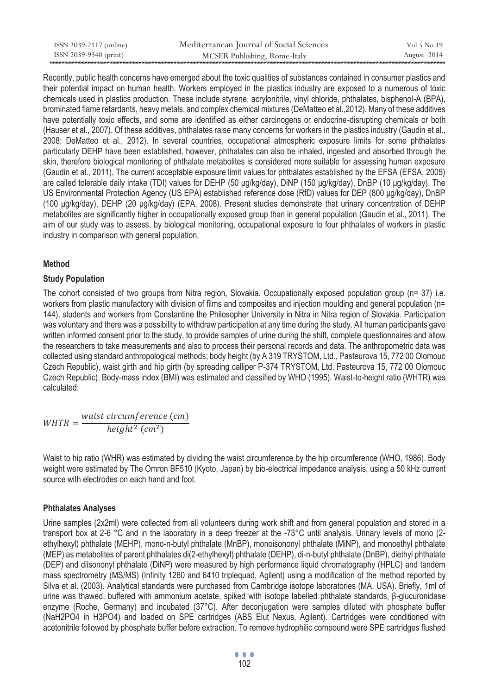| ISSN 2039-2117 (online) | Mediterranean Journal of Social Sciences | Vol 5 No 19 |
|-------------------------|------------------------------------------|-------------|
| ISSN 2039-9340 (print)  | MCSER Publishing, Rome-Italy             | August 2014 |

Recently, public health concerns have emerged about the toxic qualities of substances contained in consumer plastics and their potential impact on human health. Workers employed in the plastics industry are exposed to a numerous of toxic chemicals used in plastics production. These include styrene, acrylonitrile, vinyl chloride, phthalates, bisphenol-A (BPA), brominated flame retardants, heavy metals, and complex chemical mixtures (DeMatteo et al.,2012). Many of these additives have potentially toxic effects, and some are identified as either carcinogens or endocrine-disrupting chemicals or both (Hauser et al., 2007). Of these additives, phthalates raise many concerns for workers in the plastics industry (Gaudin et al., 2008; DeMatteo et al., 2012). In several countries, occupational atmospheric exposure limits for some phthalates particularly DEHP have been established, however, phthalates can also be inhaled, ingested and absorbed through the skin, therefore biological monitoring of phthalate metabolites is considered more suitable for assessing human exposure (Gaudin et al., 2011). The current acceptable exposure limit values for phthalates established by the EFSA (EFSA, 2005) are called tolerable daily intake (TDI) values for DEHP (50 μg/kg/day), DiNP (150 μg/kg/day), DnBP (10 μg/kg/day). The US Environmental Protection Agency (US EPA) established reference dose (RfD) values for DEP (800 μg/kg/day), DnBP (100 μg/kg/day), DEHP (20 μg/kg/day) (EPA, 2008). Present studies demonstrate that urinary concentration of DEHP metabolites are significantly higher in occupationally exposed group than in general population (Gaudin et al., 2011). The aim of our study was to assess, by biological monitoring, occupational exposure to four phthalates of workers in plastic industry in comparison with general population.

### **Method**

### **Study Population**

The cohort consisted of two groups from Nitra region, Slovakia. Occupationally exposed population group (n= 37) i.e. workers from plastic manufactory with division of films and composites and injection moulding and general population (n= 144), students and workers from Constantine the Philosopher University in Nitra in Nitra region of Slovakia. Participation was voluntary and there was a possibility to withdraw participation at any time during the study. All human participants gave written informed consent prior to the study, to provide samples of urine during the shift, complete questionnaires and allow the researchers to take measurements and also to process their personal records and data. The anthropometric data was collected using standard anthropological methods; body height (by A 319 TRYSTOM, Ltd., Pasteurova 15, 772 00 Olomouc Czech Republic), waist girth and hip girth (by spreading calliper P-374 TRYSTOM, Ltd. Pasteurova 15, 772 00 Olomouc Czech Republic). Body-mass index (BMI) was estimated and classified by WHO (1995). Waist-to-height ratio (WHTR) was calculated:

 $WHTR = \frac{waist\ circumference\ (cm)}{height^2\ (cm^2)}$ 

Waist to hip ratio (WHR) was estimated by dividing the waist circumference by the hip circumference (WHO, 1986). Body weight were estimated by The Omron BF510 (Kyoto, Japan) by bio-electrical impedance analysis, using a 50 kHz current source with electrodes on each hand and foot.

#### **Phthalates Analyses**

Urine samples (2x2ml) were collected from all volunteers during work shift and from general population and stored in a transport box at 2-6 °C and in the laboratory in a deep freezer at the -73°C until analysis. Urinary levels of mono (2 ethylhexyl) phthalate (MEHP), mono-n-butyl phthalate (MnBP), monoisononyl phthalate (MiNP), and monoethyl phthalate (MEP) as metabolites of parent phthalates di(2-ethylhexyl) phthalate (DEHP), di-n-butyl phthalate (DnBP), diethyl phthalate (DEP) and diisononyl phthalate (DiNP) were measured by high performance liquid chromatography (HPLC) and tandem mass spectrometry (MS/MS) (Infinity 1260 and 6410 triplequad, Agilent) using a modification of the method reported by Silva et al. (2003). Analytical standards were purchased from Cambridge isotope laboratories (MA, USA). Briefly, 1ml of urine was thawed, buffered with ammonium acetate, spiked with isotope labelled phthalate standards, β-glucuronidase enzyme (Roche, Germany) and incubated (37°C). After deconjugation were samples diluted with phosphate buffer (NaH2PO4 in H3PO4) and loaded on SPE cartridges (ABS Elut Nexus, Agilent). Cartridges were conditioned with acetonitrile followed by phosphate buffer before extraction. To remove hydrophilic compound were SPE cartridges flushed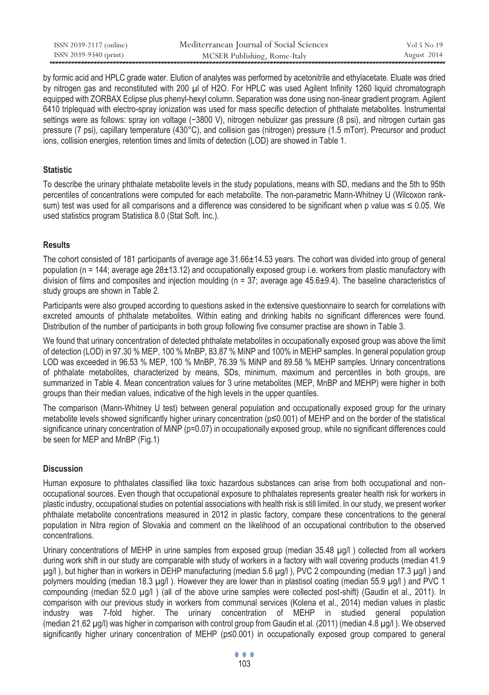| ISSN 2039-2117 (online) | Mediterranean Journal of Social Sciences | Vol 5 No 19 |
|-------------------------|------------------------------------------|-------------|
| ISSN 2039-9340 (print)  | MCSER Publishing, Rome-Italy             | August 2014 |

by formic acid and HPLC grade water. Elution of analytes was performed by acetonitrile and ethylacetate. Eluate was dried by nitrogen gas and reconstituted with 200 μl of H2O. For HPLC was used Agilent Infinity 1260 liquid chromatograph equipped with ZORBAX Eclipse plus phenyl-hexyl column. Separation was done using non-linear gradient program. Agilent 6410 triplequad with electro-spray ionization was used for mass specific detection of phthalate metabolites. Instrumental settings were as follows: spray ion voltage (−3800 V), nitrogen nebulizer gas pressure (8 psi), and nitrogen curtain gas pressure (7 psi), capillary temperature (430°C), and collision gas (nitrogen) pressure (1.5 mTorr). Precursor and product ions, collision energies, retention times and limits of detection (LOD) are showed in Table 1.

### **Statistic**

To describe the urinary phthalate metabolite levels in the study populations, means with SD, medians and the 5th to 95th percentiles of concentrations were computed for each metabolite. The non-parametric Mann-Whitney U (Wilcoxon ranksum) test was used for all comparisons and a difference was considered to be significant when p value was ≤ 0.05. We used statistics program Statistica 8.0 (Stat Soft. Inc.).

# **Results**

The cohort consisted of 181 participants of average age 31.66 $\pm$ 14.53 years. The cohort was divided into group of general population ( $n = 144$ ; average age  $28 \pm 13.12$ ) and occupationally exposed group i.e. workers from plastic manufactory with division of films and composites and injection moulding ( $n = 37$ ; average age  $45.6\pm9.4$ ). The baseline characteristics of study groups are shown in Table 2.

Participants were also grouped according to questions asked in the extensive questionnaire to search for correlations with excreted amounts of phthalate metabolites. Within eating and drinking habits no significant differences were found. Distribution of the number of participants in both group following five consumer practise are shown in Table 3.

We found that urinary concentration of detected phthalate metabolites in occupationally exposed group was above the limit of detection (LOD) in 97.30 % MEP, 100 % MnBP, 83.87 % MiNP and 100% in MEHP samples. In general population group LOD was exceeded in 96.53 % MEP, 100 % MnBP, 76.39 % MiNP and 89.58 % MEHP samples. Urinary concentrations of phthalate metabolites, characterized by means, SDs, minimum, maximum and percentiles in both groups, are summarized in Table 4. Mean concentration values for 3 urine metabolites (MEP, MnBP and MEHP) were higher in both groups than their median values, indicative of the high levels in the upper quantiles.

The comparison (Mann-Whitney U test) between general population and occupationally exposed group for the urinary metabolite levels showed significantly higher urinary concentration (p≤0.001) of MEHP and on the border of the statistical significance urinary concentration of MiNP (p=0.07) in occupationally exposed group, while no significant differences could be seen for MEP and MnBP (Fig.1)

# **Discussion**

Human exposure to phthalates classified like toxic hazardous substances can arise from both occupational and nonoccupational sources. Even though that occupational exposure to phthalates represents greater health risk for workers in plastic industry, occupational studies on potential associations with health risk is still limited. In our study, we present worker phthalate metabolite concentrations measured in 2012 in plastic factory, compare these concentrations to the general population in Nitra region of Slovakia and comment on the likelihood of an occupational contribution to the observed concentrations.

Urinary concentrations of MEHP in urine samples from exposed group (median 35.48 μg/l ) collected from all workers during work shift in our study are comparable with study of workers in a factory with wall covering products (median 41.9 μg/l ), but higher than in workers in DEHP manufacturing (median 5.6 μg/l ), PVC 2 compounding (median 17.3 μg/l ) and polymers moulding (median 18.3 μg/l ). However they are lower than in plastisol coating (median 55.9 μg/l ) and PVC 1 compounding (median 52.0 μg/l ) (all of the above urine samples were collected post-shift) (Gaudin et al., 2011). In comparison with our previous study in workers from communal services (Kolena et al., 2014) median values in plastic industry was 7-fold higher. The urinary concentration of MEHP in studied general population (median 21.62 μg/l) was higher in comparison with control group from Gaudin et al. (2011) (median 4.8 μg/l ). We observed significantly higher urinary concentration of MEHP (p≤0.001) in occupationally exposed group compared to general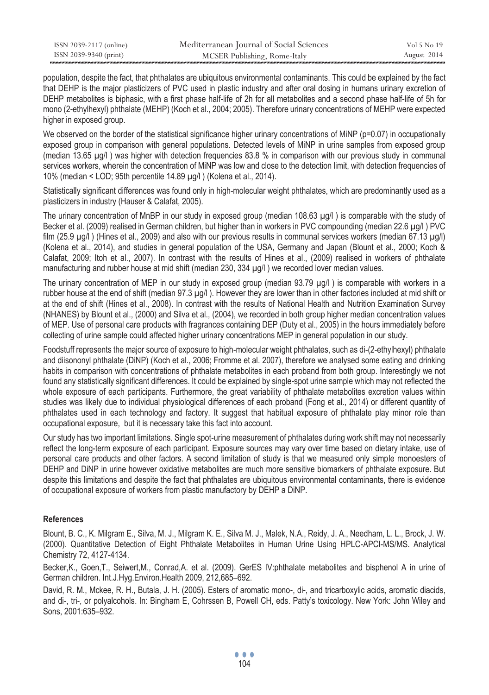| ISSN 2039-2117 (online) | Mediterranean Journal of Social Sciences | Vol 5 No 19 |
|-------------------------|------------------------------------------|-------------|
| ISSN 2039-9340 (print)  | MCSER Publishing, Rome-Italy             | August 2014 |

population, despite the fact, that phthalates are ubiquitous environmental contaminants. This could be explained by the fact that DEHP is the major plasticizers of PVC used in plastic industry and after oral dosing in humans urinary excretion of DEHP metabolites is biphasic, with a first phase half-life of 2h for all metabolites and a second phase half-life of 5h for mono (2-ethylhexyl) phthalate (MEHP) (Koch et al., 2004; 2005). Therefore urinary concentrations of MEHP were expected higher in exposed group.

We observed on the border of the statistical significance higher urinary concentrations of MiNP ( $p=0.07$ ) in occupationally exposed group in comparison with general populations. Detected levels of MiNP in urine samples from exposed group (median 13.65 μg/l ) was higher with detection frequencies 83.8 % in comparison with our previous study in communal services workers, wherein the concentration of MiNP was low and close to the detection limit, with detection frequencies of 10% (median < LOD; 95th percentile 14.89 μg/l ) (Kolena et al., 2014).

Statistically significant differences was found only in high-molecular weight phthalates, which are predominantly used as a plasticizers in industry (Hauser & Calafat, 2005).

The urinary concentration of MnBP in our study in exposed group (median 108.63 μg/l ) is comparable with the study of Becker et al. (2009) realised in German children, but higher than in workers in PVC compounding (median 22.6 μg/l ) PVC film (25.9 μg/l ) (Hines et al., 2009) and also with our previous results in communal services workers (median 67.13 μg/l) (Kolena et al., 2014), and studies in general population of the USA, Germany and Japan (Blount et al., 2000; Koch & Calafat, 2009; Itoh et al., 2007). In contrast with the results of Hines et al., (2009) realised in workers of phthalate manufacturing and rubber house at mid shift (median 230, 334 μg/l ) we recorded lover median values.

The urinary concentration of MEP in our study in exposed group (median 93.79 μg/l ) is comparable with workers in a rubber house at the end of shift (median 97.3 μg/l ). However they are lower than in other factories included at mid shift or at the end of shift (Hines et al., 2008). In contrast with the results of National Health and Nutrition Examination Survey (NHANES) by Blount et al., (2000) and Silva et al., (2004), we recorded in both group higher median concentration values of MEP. Use of personal care products with fragrances containing DEP (Duty et al., 2005) in the hours immediately before collecting of urine sample could affected higher urinary concentrations MEP in general population in our study.

Foodstuff represents the major source of exposure to high-molecular weight phthalates, such as di-(2-ethylhexyl) phthalate and diisononyl phthalate (DiNP) (Koch et al., 2006; Fromme et al. 2007), therefore we analysed some eating and drinking habits in comparison with concentrations of phthalate metabolites in each proband from both group. Interestingly we not found any statistically significant differences. It could be explained by single-spot urine sample which may not reflected the whole exposure of each participants. Furthermore, the great variability of phthalate metabolites excretion values within studies was likely due to individual physiological differences of each proband (Fong et al., 2014) or different quantity of phthalates used in each technology and factory. It suggest that habitual exposure of phthalate play minor role than occupational exposure, but it is necessary take this fact into account.

Our study has two important limitations. Single spot-urine measurement of phthalates during work shift may not necessarily reflect the long-term exposure of each participant. Exposure sources may vary over time based on dietary intake, use of personal care products and other factors. A second limitation of study is that we measured only simple monoesters of DEHP and DiNP in urine however oxidative metabolites are much more sensitive biomarkers of phthalate exposure. But despite this limitations and despite the fact that phthalates are ubiquitous environmental contaminants, there is evidence of occupational exposure of workers from plastic manufactory by DEHP a DiNP.

#### **References**

Blount, B. C., K. Milgram E., Silva, M. J., Milgram K. E., Silva M. J., Malek, N.A., Reidy, J. A., Needham, L. L., Brock, J. W. (2000). Quantitative Detection of Eight Phthalate Metabolites in Human Urine Using HPLC-APCI-MS/MS. Analytical Chemistry 72, 4127-4134.

Becker,K., Goen,T., Seiwert,M., Conrad,A. et al. (2009). GerES IV:phthalate metabolites and bisphenol A in urine of German children. Int.J.Hyg.Environ.Health 2009, 212,685–692.

David, R. M., Mckee, R. H., Butala, J. H. (2005). Esters of aromatic mono-, di-, and tricarboxylic acids, aromatic diacids, and di-, tri-, or polyalcohols. In: Bingham E, Cohrssen B, Powell CH, eds. Patty's toxicology. New York: John Wiley and Sons, 2001:635–932.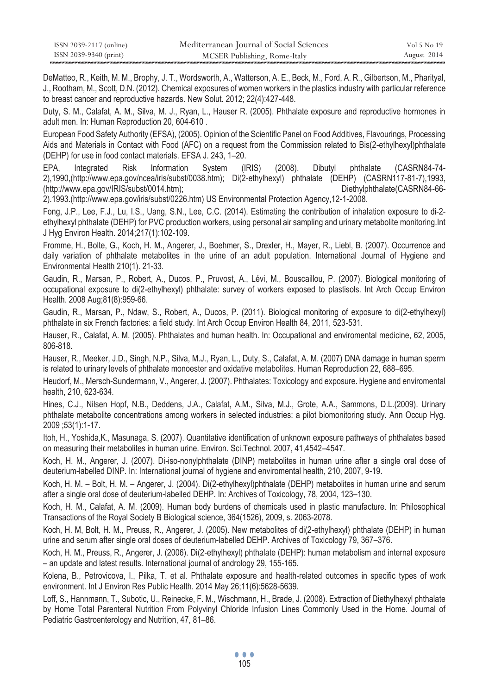| ISSN 2039-2117 (online) | Mediterranean Journal of Social Sciences | Vol 5 No 19 |
|-------------------------|------------------------------------------|-------------|
| ISSN 2039-9340 (print)  | MCSER Publishing, Rome-Italy             | August 2014 |

DeMatteo, R., Keith, M. M., Brophy, J. T., Wordsworth, A., Watterson, A. E., Beck, M., Ford, A. R., Gilbertson, M., Pharityal, J., Rootham, M., Scott, D.N. (2012). Chemical exposures of women workers in the plastics industry with particular reference to breast cancer and reproductive hazards. New Solut. 2012; 22(4):427-448.

Duty, S. M., Calafat, A. M., Silva, M. J., Ryan, L., Hauser R. (2005). Phthalate exposure and reproductive hormones in adult men. In: Human Reproduction 20, 604-610 .

European Food Safety Authority (EFSA), (2005). Opinion of the Scientific Panel on Food Additives, Flavourings, Processing Aids and Materials in Contact with Food (AFC) on a request from the Commission related to Bis(2-ethylhexyl)phthalate (DEHP) for use in food contact materials. EFSA J. 243, 1–20.

EPA, Integrated Risk Information System (IRIS) (2008). Dibutyl phthalate (CASRN84-74- 2),1990,(http://www.epa.gov/ncea/iris/subst/0038.htm); Di(2-ethylhexyl) phthalate (DEHP) (CASRN117-81-7),1993, (http://www.epa.gov/IRIS/subst/0014.htm); Diethylphthalate(CASRN84-66-

2).1993.(http://www.epa.gov/iris/subst/0226.htm) US Environmental Protection Agency,12-1-2008.

Fong, J.P., Lee, F.J., Lu, I.S., Uang, S.N., Lee, C.C. (2014). Estimating the contribution of inhalation exposure to di-2 ethylhexyl phthalate (DEHP) for PVC production workers, using personal air sampling and urinary metabolite monitoring.Int J Hyg Environ Health. 2014;217(1):102-109.

Fromme, H., Bolte, G., Koch, H. M., Angerer, J., Boehmer, S., Drexler, H., Mayer, R., Liebl, B. (2007). Occurrence and daily variation of phthalate metabolites in the urine of an adult population. International Journal of Hygiene and Environmental Health 210(1). 21-33.

Gaudin, R., Marsan, P., Robert, A., Ducos, P., Pruvost, A., Lévi, M., Bouscaillou, P. (2007). Biological monitoring of occupational exposure to di(2-ethylhexyl) phthalate: survey of workers exposed to plastisols. Int Arch Occup Environ Health. 2008 Aug;81(8):959-66.

Gaudin, R., Marsan, P., Ndaw, S., Robert, A., Ducos, P. (2011). Biological monitoring of exposure to di(2-ethylhexyl) phthalate in six French factories: a field study. Int Arch Occup Environ Health 84, 2011, 523-531.

Hauser, R., Calafat, A. M. (2005). Phthalates and human health. In: Occupational and enviromental medicine, 62, 2005, 806-818.

Hauser, R., Meeker, J.D., Singh, N.P., Silva, M.J., Ryan, L., Duty, S., Calafat, A. M. (2007) DNA damage in human sperm is related to urinary levels of phthalate monoester and oxidative metabolites. Human Reproduction 22, 688–695.

Heudorf, M., Mersch-Sundermann, V., Angerer, J. (2007). Phthalates: Toxicology and exposure. Hygiene and enviromental health, 210, 623-634.

Hines, C.J., Nilsen Hopf, N.B., Deddens, J.A., Calafat, A.M., Silva, M.J., Grote, A.A., Sammons, D.L.(2009). Urinary phthalate metabolite concentrations among workers in selected industries: a pilot biomonitoring study. Ann Occup Hyg. 2009 ;53(1):1-17.

Itoh, H., Yoshida,K., Masunaga, S. (2007). Quantitative identification of unknown exposure pathways of phthalates based on measuring their metabolites in human urine. Environ. Sci.Technol. 2007, 41,4542–4547.

Koch, H. M., Angerer, J. (2007). Di-iso-nonylphthalate (DINP) metabolites in human urine after a single oral dose of deuterium-labelled DINP. In: International journal of hygiene and enviromental health, 210, 2007, 9-19.

Koch, H. M. – Bolt, H. M. – Angerer, J. (2004). Di(2-ethylhexyl)phthalate (DEHP) metabolites in human urine and serum after a single oral dose of deuterium-labelled DEHP. In: Archives of Toxicology, 78, 2004, 123–130.

Koch, H. M., Calafat, A. M. (2009). Human body burdens of chemicals used in plastic manufacture. In: Philosophical Transactions of the Royal Society B Biological science, 364(1526), 2009, s. 2063-2078.

Koch, H. M, Bolt, H. M., Preuss, R., Angerer, J. (2005). New metabolites of di(2-ethylhexyl) phthalate (DEHP) in human urine and serum after single oral doses of deuterium-labelled DEHP. Archives of Toxicology 79, 367–376.

Koch, H. M., Preuss, R., Angerer, J. (2006). Di(2-ethylhexyl) phthalate (DEHP): human metabolism and internal exposure – an update and latest results. International journal of andrology 29, 155-165.

Kolena, B., Petrovicova, I., Pilka, T. et al. Phthalate exposure and health-related outcomes in specific types of work environment. Int J Environ Res Public Health. 2014 May 26;11(6):5628-5639.

Loff, S., Hannmann, T., Subotic, U., Reinecke, F. M., Wischmann, H., Brade, J. (2008). Extraction of Diethylhexyl phthalate by Home Total Parenteral Nutrition From Polyvinyl Chloride Infusion Lines Commonly Used in the Home. Journal of Pediatric Gastroenterology and Nutrition, 47, 81–86.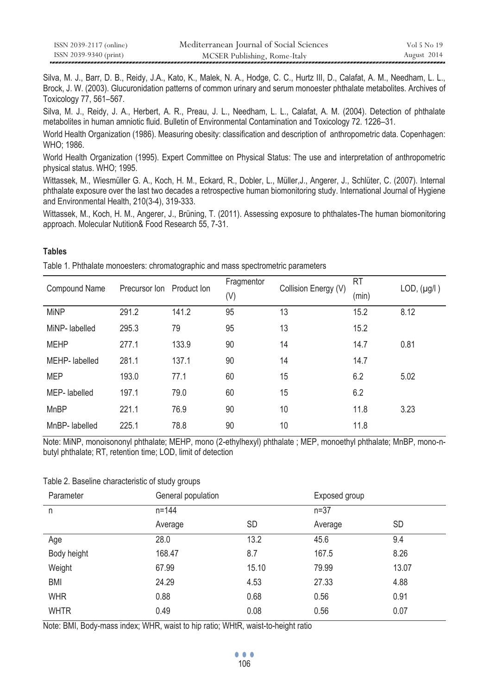| ISSN 2039-2117 (online) | Mediterranean Journal of Social Sciences | Vol 5 No 19 |
|-------------------------|------------------------------------------|-------------|
| ISSN 2039-9340 (print)  | MCSER Publishing, Rome-Italy             | August 2014 |

Silva, M. J., Barr, D. B., Reidy, J.A., Kato, K., Malek, N. A., Hodge, C. C., Hurtz III, D., Calafat, A. M., Needham, L. L., Brock, J. W. (2003). Glucuronidation patterns of common urinary and serum monoester phthalate metabolites. Archives of Toxicology 77, 561–567.

Silva, M. J., Reidy, J. A., Herbert, A. R., Preau, J. L., Needham, L. L., Calafat, A. M. (2004). Detection of phthalate metabolites in human amniotic fluid. Bulletin of Environmental Contamination and Toxicology 72. 1226–31.

World Health Organization (1986). Measuring obesity: classification and description of anthropometric data. Copenhagen: WHO; 1986.

World Health Organization (1995). Expert Committee on Physical Status: The use and interpretation of anthropometric physical status. WHO; 1995.

Wittassek, M., Wiesmüller G. A., Koch, H. M., Eckard, R., Dobler, L., Müller,J., Angerer, J., Schlüter, C. (2007). Internal phthalate exposure over the last two decades a retrospective human biomonitoring study. International Journal of Hygiene and Environmental Health, 210(3-4), 319-333.

Wittassek, M., Koch, H. M., Angerer, J., Brüning, T. (2011). Assessing exposure to phthalates-The human biomonitoring approach. Molecular Nutition& Food Research 55, 7-31.

# **Tables**

Table 1. Phthalate monoesters: chromatographic and mass spectrometric parameters

| <b>Compound Name</b> | Precursor Ion Product Ion |       | Fragmentor | Collision Energy (V) | RT    | LOD, (µg/l) |  |
|----------------------|---------------------------|-------|------------|----------------------|-------|-------------|--|
|                      |                           |       | (V)        |                      | (min) |             |  |
| <b>MiNP</b>          | 291.2                     | 141.2 | 95         | 13                   | 15.2  | 8.12        |  |
| MiNP- labelled       | 295.3                     | 79    | 95         | 13                   | 15.2  |             |  |
| <b>MEHP</b>          | 277.1                     | 133.9 | 90         | 14                   | 14.7  | 0.81        |  |
| MEHP-labelled        | 281.1                     | 137.1 | 90         | 14                   | 14.7  |             |  |
| <b>MEP</b>           | 193.0                     | 77.1  | 60         | 15                   | 6.2   | 5.02        |  |
| MEP-labelled         | 197.1                     | 79.0  | 60         | 15                   | 6.2   |             |  |
| <b>MnBP</b>          | 221.1                     | 76.9  | 90         | 10                   | 11.8  | 3.23        |  |
| MnBP-labelled        | 225.1                     | 78.8  | 90         | 10                   | 11.8  |             |  |

Note: MiNP, monoisononyl phthalate; MEHP, mono (2-ethylhexyl) phthalate ; MEP, monoethyl phthalate; MnBP, mono-nbutyl phthalate; RT, retention time; LOD, limit of detection

#### Table 2. Baseline characteristic of study groups

| Parameter   | General population |           | Exposed group |           |  |
|-------------|--------------------|-----------|---------------|-----------|--|
| n           | $n = 144$          |           | $n = 37$      |           |  |
|             | Average            | <b>SD</b> | Average       | <b>SD</b> |  |
| Age         | 28.0               | 13.2      | 45.6          | 9.4       |  |
| Body height | 168.47             | 8.7       | 167.5         | 8.26      |  |
| Weight      | 67.99              | 15.10     | 79.99         | 13.07     |  |
| <b>BMI</b>  | 24.29              | 4.53      | 27.33         | 4.88      |  |
| <b>WHR</b>  | 0.88               | 0.68      | 0.56          | 0.91      |  |
| <b>WHTR</b> | 0.49               | 0.08      | 0.56          | 0.07      |  |

Note: BMI, Body-mass index; WHR, waist to hip ratio; WHtR, waist-to-height ratio